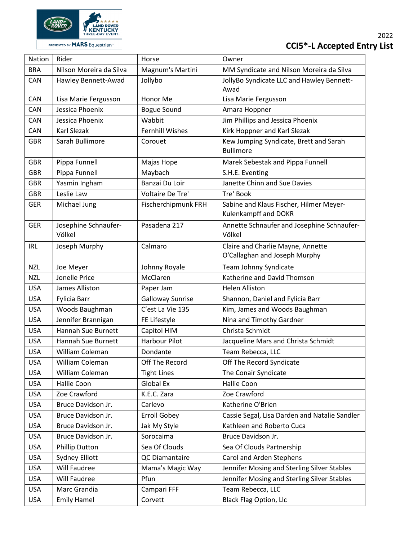

| Nation     | Rider                          | Horse                   | Owner                                                              |
|------------|--------------------------------|-------------------------|--------------------------------------------------------------------|
| <b>BRA</b> | Nilson Moreira da Silva        | Magnum's Martini        | MM Syndicate and Nilson Moreira da Silva                           |
| <b>CAN</b> | Hawley Bennett-Awad            | Jollybo                 | JollyBo Syndicate LLC and Hawley Bennett-<br>Awad                  |
| CAN        | Lisa Marie Fergusson           | Honor Me                | Lisa Marie Fergusson                                               |
| <b>CAN</b> | Jessica Phoenix                | <b>Bogue Sound</b>      | Amara Hoppner                                                      |
| CAN        | Jessica Phoenix                | Wabbit                  | Jim Phillips and Jessica Phoenix                                   |
| CAN        | Karl Slezak                    | <b>Fernhill Wishes</b>  | Kirk Hoppner and Karl Slezak                                       |
| <b>GBR</b> | Sarah Bullimore                | Corouet                 | Kew Jumping Syndicate, Brett and Sarah<br><b>Bullimore</b>         |
| <b>GBR</b> | Pippa Funnell                  | Majas Hope              | Marek Sebestak and Pippa Funnell                                   |
| <b>GBR</b> | Pippa Funnell                  | Maybach                 | S.H.E. Eventing                                                    |
| <b>GBR</b> | Yasmin Ingham                  | Banzai Du Loir          | Janette Chinn and Sue Davies                                       |
| <b>GBR</b> | Leslie Law                     | Voltaire De Tre'        | Tre' Book                                                          |
| <b>GER</b> | Michael Jung                   | Fischerchipmunk FRH     | Sabine and Klaus Fischer, Hilmer Meyer-<br>Kulenkampff and DOKR    |
| <b>GER</b> | Josephine Schnaufer-<br>Völkel | Pasadena 217            | Annette Schnaufer and Josephine Schnaufer-<br>Völkel               |
| <b>IRL</b> | Joseph Murphy                  | Calmaro                 | Claire and Charlie Mayne, Annette<br>O'Callaghan and Joseph Murphy |
| <b>NZL</b> | Joe Meyer                      | Johnny Royale           | Team Johnny Syndicate                                              |
| <b>NZL</b> | Jonelle Price                  | McClaren                | Katherine and David Thomson                                        |
| <b>USA</b> | James Alliston                 | Paper Jam               | <b>Helen Alliston</b>                                              |
| <b>USA</b> | Fylicia Barr                   | <b>Galloway Sunrise</b> | Shannon, Daniel and Fylicia Barr                                   |
| <b>USA</b> | Woods Baughman                 | C'est La Vie 135        | Kim, James and Woods Baughman                                      |
| <b>USA</b> | Jennifer Brannigan             | FE Lifestyle            | Nina and Timothy Gardner                                           |
| <b>USA</b> | Hannah Sue Burnett             | Capitol HIM             | Christa Schmidt                                                    |
| <b>USA</b> | Hannah Sue Burnett             | Harbour Pilot           | Jacqueline Mars and Christa Schmidt                                |
| <b>USA</b> | William Coleman                | Dondante                | Team Rebecca, LLC                                                  |
| <b>USA</b> | William Coleman                | Off The Record          | Off The Record Syndicate                                           |
| <b>USA</b> | William Coleman                | <b>Tight Lines</b>      | The Conair Syndicate                                               |
| <b>USA</b> | Hallie Coon                    | Global Ex               | Hallie Coon                                                        |
| <b>USA</b> | Zoe Crawford                   | K.E.C. Zara             | Zoe Crawford                                                       |
| <b>USA</b> | Bruce Davidson Jr.             | Carlevo                 | Katherine O'Brien                                                  |
| <b>USA</b> | Bruce Davidson Jr.             | <b>Erroll Gobey</b>     | Cassie Segal, Lisa Darden and Natalie Sandler                      |
| <b>USA</b> | Bruce Davidson Jr.             | Jak My Style            | Kathleen and Roberto Cuca                                          |
| <b>USA</b> | Bruce Davidson Jr.             | Sorocaima               | Bruce Davidson Jr.                                                 |
| <b>USA</b> | <b>Phillip Dutton</b>          | Sea Of Clouds           | Sea Of Clouds Partnership                                          |
| <b>USA</b> | <b>Sydney Elliott</b>          | QC Diamantaire          | Carol and Arden Stephens                                           |
| <b>USA</b> | Will Faudree                   | Mama's Magic Way        | Jennifer Mosing and Sterling Silver Stables                        |
| <b>USA</b> | <b>Will Faudree</b>            | Pfun                    | Jennifer Mosing and Sterling Silver Stables                        |
| <b>USA</b> | Marc Grandia                   | Campari FFF             | Team Rebecca, LLC                                                  |
| <b>USA</b> | <b>Emily Hamel</b>             | Corvett                 | <b>Black Flag Option, Llc</b>                                      |